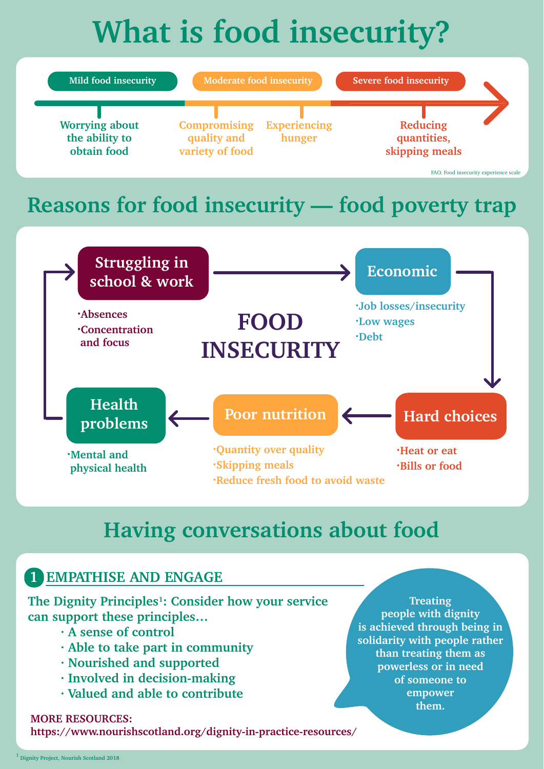# **What is food insecurity?**



# **Having conversations about food**

**·Reduce fresh food to avoid waste**

## **1 EMPATHISE AND ENGAGE**

**The Dignity Principles1: Consider how your service can support these principles…**

- **· A sense of control**
- **· Able to take part in community**
- **· Nourished and supported**
- **· Involved in decision-making**
- **· Valued and able to contribute**

#### **MORE RESOURCES:**

**https://www.nourishscotland.org/dignity-in-practice-resources/**

**Treating people with dignity is achieved through being in solidarity with people rather than treating them as powerless or in need of someone to empower them.**